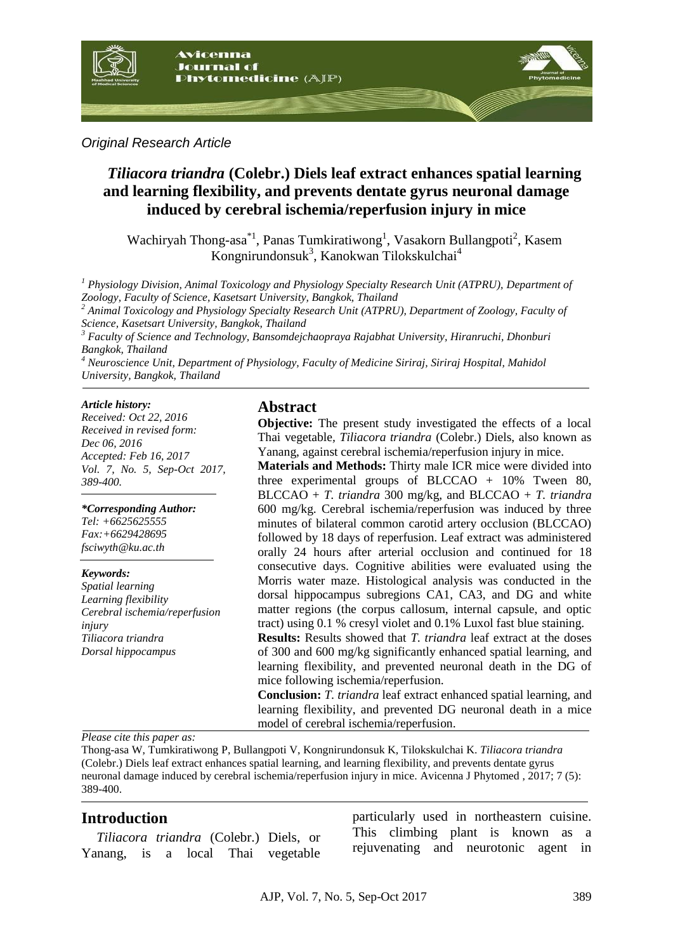

*Original Research Article*

# *Tiliacora triandra* **(Colebr.) Diels leaf extract enhances spatial learning and learning flexibility, and prevents dentate gyrus neuronal damage induced by cerebral ischemia/reperfusion injury in mice**

Wachiryah Thong-asa<sup>\*1</sup>, Panas Tumkiratiwong<sup>1</sup>, Vasakorn Bullangpoti<sup>2</sup>, Kasem Kongnirundonsuk<sup>3</sup>, Kanokwan Tilokskulchai<sup>4</sup>

*<sup>1</sup> Physiology Division, Animal Toxicology and Physiology Specialty Research Unit (ATPRU), Department of Zoology, Faculty of Science, Kasetsart University, Bangkok, Thailand* 

*<sup>2</sup> Animal Toxicology and Physiology Specialty Research Unit (ATPRU), Department of Zoology, Faculty of Science, Kasetsart University, Bangkok, Thailand*

*<sup>3</sup> Faculty of Science and Technology, Bansomdejchaopraya Rajabhat University, Hiranruchi, Dhonburi Bangkok, Thailand*

*<sup>4</sup> Neuroscience Unit, Department of Physiology, Faculty of Medicine Siriraj, Siriraj Hospital, Mahidol University, Bangkok, Thailand*

#### *Article history:*

*Received: Oct 22, 2016 Received in revised form: Dec 06, 2016 Accepted: Feb 16, 2017 Vol. 7, No. 5, Sep-Oct 2017, 389-400.*

*\*Corresponding Author: Tel: +6625625555 Fax:+6629428695 fsciwyth@ku.ac.th* 

*Keywords: Spatial learning Learning flexibility Cerebral ischemia/reperfusion injury Tiliacora triandra Dorsal hippocampus*

#### **Abstract**

**Objective:** The present study investigated the effects of a local Thai vegetable*, Tiliacora triandra* (Colebr.) Diels, also known as Yanang, against cerebral ischemia/reperfusion injury in mice.

**Materials and Methods:** Thirty male ICR mice were divided into three experimental groups of BLCCAO  $+$  10% Tween 80, BLCCAO + *T. triandra* 300 mg/kg, and BLCCAO + *T. triandra* 600 mg/kg. Cerebral ischemia/reperfusion was induced by three minutes of bilateral common carotid artery occlusion (BLCCAO) followed by 18 days of reperfusion. Leaf extract was administered orally 24 hours after arterial occlusion and continued for 18 consecutive days. Cognitive abilities were evaluated using the Morris water maze. Histological analysis was conducted in the dorsal hippocampus subregions CA1, CA3, and DG and white matter regions (the corpus callosum, internal capsule, and optic tract) using 0.1 % cresyl violet and 0.1% Luxol fast blue staining. **Results:** Results showed that *T. triandra* leaf extract at the doses

of 300 and 600 mg/kg significantly enhanced spatial learning, and learning flexibility, and prevented neuronal death in the DG of mice following ischemia/reperfusion.

**Conclusion:** *T. triandra* leaf extract enhanced spatial learning, and learning flexibility, and prevented DG neuronal death in a mice model of cerebral ischemia/reperfusion.

*Please cite this paper as:*

Thong-asa W, Tumkiratiwong P, Bullangpoti V, Kongnirundonsuk K, Tilokskulchai K. *Tiliacora triandra*  (Colebr.) Diels leaf extract enhances spatial learning, and learning flexibility, and prevents dentate gyrus neuronal damage induced by cerebral ischemia/reperfusion injury in mice. Avicenna J Phytomed , 2017; 7 (5): 389-400.

### **Introduction**

*Tiliacora triandra* (Colebr.) Diels, or Yanang, is a local Thai vegetable

particularly used in northeastern cuisine. This climbing plant is known as a rejuvenating and neurotonic agent in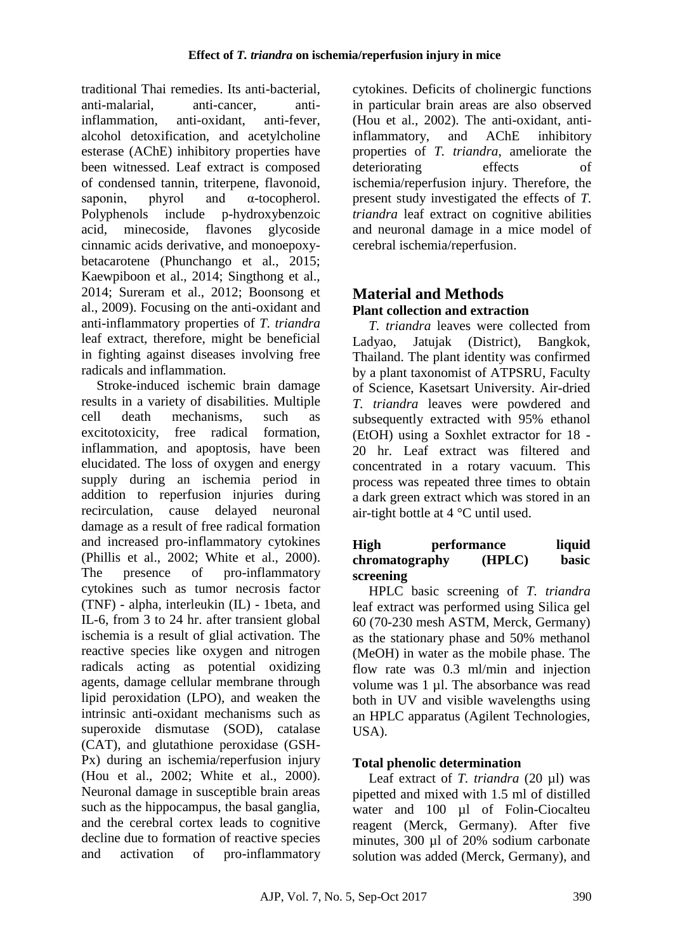traditional Thai remedies. Its anti-bacterial, anti-malarial, anti-cancer, antiinflammation, anti-oxidant, anti-fever, alcohol detoxification, and acetylcholine esterase (AChE) inhibitory properties have been witnessed. Leaf extract is composed of condensed tannin, triterpene, flavonoid, saponin, phyrol and α-tocopherol. Polyphenols include p-hydroxybenzoic acid, minecoside, flavones glycoside cinnamic acids derivative, and monoepoxybetacarotene (Phunchango et al., 2015; Kaewpiboon et al., 2014; Singthong et al., 2014; Sureram et al., 2012; Boonsong et al., 2009). Focusing on the anti-oxidant and anti-inflammatory properties of *T. triandra* leaf extract, therefore, might be beneficial in fighting against diseases involving free radicals and inflammation.

Stroke-induced ischemic brain damage results in a variety of disabilities. Multiple cell death mechanisms, such as excitotoxicity, free radical formation, inflammation, and apoptosis, have been elucidated. The loss of oxygen and energy supply during an ischemia period in addition to reperfusion injuries during recirculation, cause delayed neuronal damage as a result of free radical formation and increased pro-inflammatory cytokines (Phillis et al., 2002; White et al., 2000). The presence of pro-inflammatory cytokines such as tumor necrosis factor (TNF) - alpha, interleukin (IL) - 1beta, and IL-6, from 3 to 24 hr. after transient global ischemia is a result of glial activation. The reactive species like oxygen and nitrogen radicals acting as potential oxidizing agents, damage cellular membrane through lipid peroxidation (LPO), and weaken the intrinsic anti-oxidant mechanisms such as superoxide dismutase (SOD), catalase (CAT), and glutathione peroxidase (GSH-Px) during an ischemia/reperfusion injury (Hou et al., 2002; White et al., 2000). Neuronal damage in susceptible brain areas such as the hippocampus, the basal ganglia, and the cerebral cortex leads to cognitive decline due to formation of reactive species and activation of pro-inflammatory

cytokines. Deficits of cholinergic functions in particular brain areas are also observed (Hou et al., 2002). The anti-oxidant, antiinflammatory, and AChE inhibitory properties of *T. triandra*, ameliorate the deteriorating effects of ischemia/reperfusion injury. Therefore, the present study investigated the effects of *T. triandra* leaf extract on cognitive abilities and neuronal damage in a mice model of cerebral ischemia/reperfusion.

# **Material and Methods Plant collection and extraction**

*T. triandra* leaves were collected from Ladyao, Jatujak (District), Bangkok, Thailand. The plant identity was confirmed by a plant taxonomist of ATPSRU, Faculty of Science, Kasetsart University. Air-dried *T. triandra* leaves were powdered and subsequently extracted with 95% ethanol (EtOH) using a Soxhlet extractor for 18 - 20 hr. Leaf extract was filtered and concentrated in a rotary vacuum. This process was repeated three times to obtain a dark green extract which was stored in an air-tight bottle at 4 °C until used.

#### **High performance liquid chromatography (HPLC) basic screening**

HPLC basic screening of *T. triandra* leaf extract was performed using Silica gel 60 (70-230 mesh ASTM, Merck, Germany) as the stationary phase and 50% methanol (MeOH) in water as the mobile phase. The flow rate was 0.3 ml/min and injection volume was 1 µl. The absorbance was read both in UV and visible wavelengths using an HPLC apparatus (Agilent Technologies, USA).

# **Total phenolic determination**

Leaf extract of *T. triandra* (20 µl) was pipetted and mixed with 1.5 ml of distilled water and 100 µl of Folin-Ciocalteu reagent (Merck, Germany). After five minutes, 300 µl of 20% sodium carbonate solution was added (Merck, Germany), and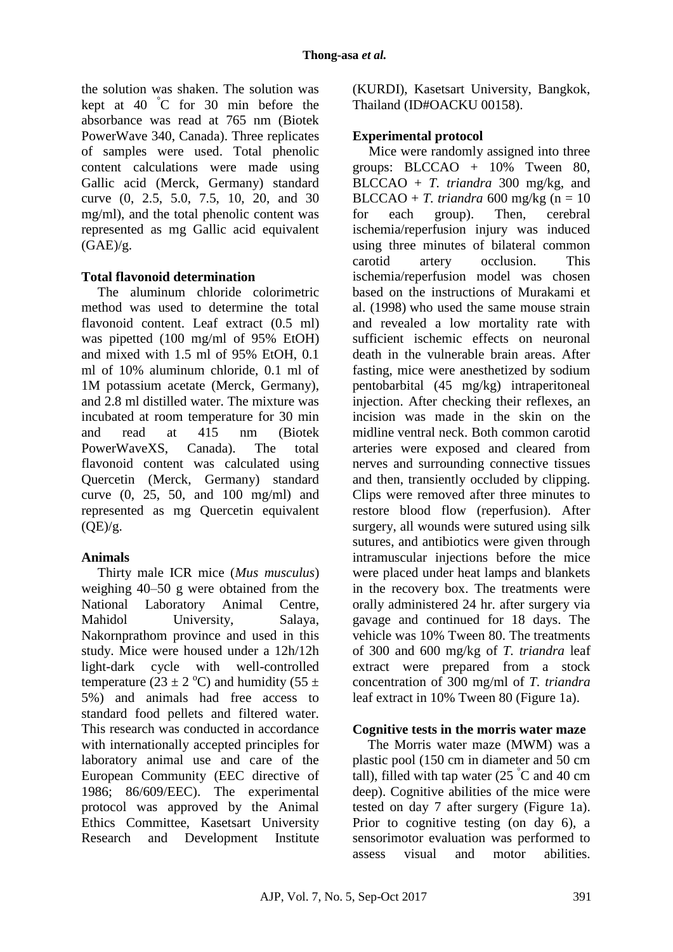the solution was shaken. The solution was kept at 40 °C for 30 min before the absorbance was read at 765 nm (Biotek PowerWave 340, Canada). Three replicates of samples were used. Total phenolic content calculations were made using Gallic acid (Merck, Germany) standard curve (0, 2.5, 5.0, 7.5, 10, 20, and 30 mg/ml), and the total phenolic content was represented as mg Gallic acid equivalent  $(GAE)/g$ .

### **Total flavonoid determination**

The aluminum chloride colorimetric method was used to determine the total flavonoid content. Leaf extract (0.5 ml) was pipetted (100 mg/ml of 95% EtOH) and mixed with 1.5 ml of 95% EtOH, 0.1 ml of 10% aluminum chloride, 0.1 ml of 1M potassium acetate (Merck, Germany), and 2.8 ml distilled water. The mixture was incubated at room temperature for 30 min and read at 415 nm (Biotek PowerWaveXS, Canada). The total flavonoid content was calculated using Quercetin (Merck, Germany) standard curve (0, 25, 50, and 100 mg/ml) and represented as mg Quercetin equivalent  $(OE)/g$ .

### **Animals**

Thirty male ICR mice (*Mus musculus*) weighing 40–50 g were obtained from the National Laboratory Animal Centre, Mahidol University, Salaya, Nakornprathom province and used in this study. Mice were housed under a 12h/12h light-dark cycle with well-controlled temperature (23  $\pm$  2 °C) and humidity (55  $\pm$ 5%) and animals had free access to standard food pellets and filtered water. This research was conducted in accordance with internationally accepted principles for laboratory animal use and care of the European Community (EEC directive of 1986; 86/609/EEC). The experimental protocol was approved by the Animal Ethics Committee, Kasetsart University Research and Development Institute (KURDI), Kasetsart University, Bangkok, Thailand (ID#OACKU 00158).

### **Experimental protocol**

Mice were randomly assigned into three groups: BLCCAO + 10% Tween 80, BLCCAO + *T. triandra* 300 mg/kg, and BLCCAO + *T. triandra* 600 mg/kg ( $n = 10$ ) for each group). Then, cerebral ischemia/reperfusion injury was induced using three minutes of bilateral common carotid artery occlusion. This ischemia/reperfusion model was chosen based on the instructions of Murakami et al. (1998) who used the same mouse strain and revealed a low mortality rate with sufficient ischemic effects on neuronal death in the vulnerable brain areas. After fasting, mice were anesthetized by sodium pentobarbital (45 mg/kg) intraperitoneal injection. After checking their reflexes, an incision was made in the skin on the midline ventral neck. Both common carotid arteries were exposed and cleared from nerves and surrounding connective tissues and then, transiently occluded by clipping. Clips were removed after three minutes to restore blood flow (reperfusion). After surgery, all wounds were sutured using silk sutures, and antibiotics were given through intramuscular injections before the mice were placed under heat lamps and blankets in the recovery box. The treatments were orally administered 24 hr. after surgery via gavage and continued for 18 days. The vehicle was 10% Tween 80. The treatments of 300 and 600 mg/kg of *T. triandra* leaf extract were prepared from a stock concentration of 300 mg/ml of *T. triandra* leaf extract in 10% Tween 80 (Figure 1a).

#### **Cognitive tests in the morris water maze**

The Morris water maze (MWM) was a plastic pool (150 cm in diameter and 50 cm tall), filled with tap water  $(25 \degree C$  and 40 cm deep). Cognitive abilities of the mice were tested on day 7 after surgery (Figure 1a). Prior to cognitive testing (on day 6), a sensorimotor evaluation was performed to assess visual and motor abilities.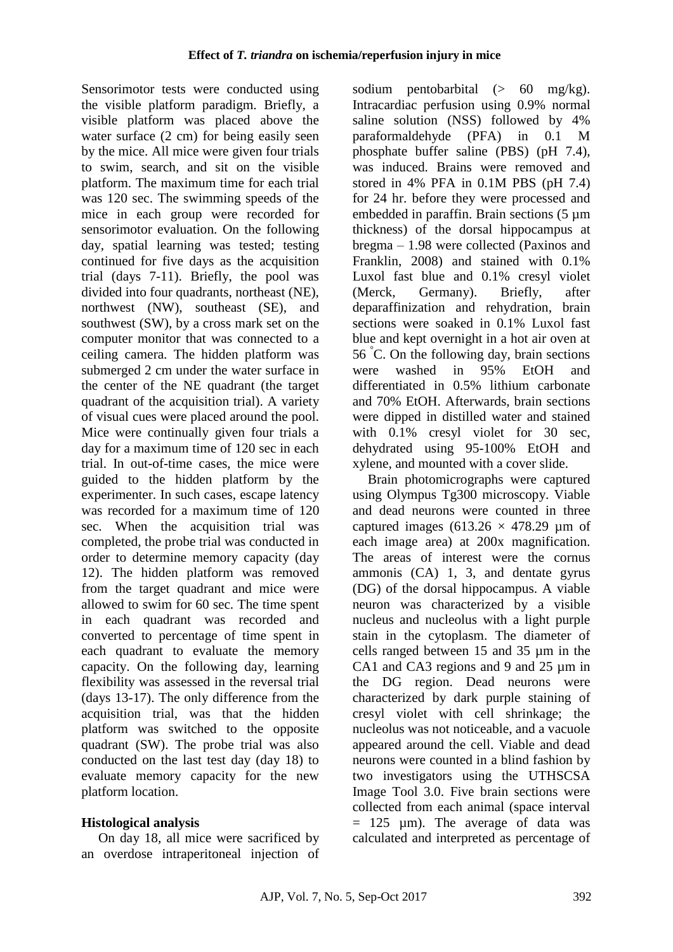Sensorimotor tests were conducted using the visible platform paradigm. Briefly, a visible platform was placed above the water surface  $(2 \text{ cm})$  for being easily seen by the mice. All mice were given four trials to swim, search, and sit on the visible platform. The maximum time for each trial was 120 sec. The swimming speeds of the mice in each group were recorded for sensorimotor evaluation. On the following day, spatial learning was tested; testing continued for five days as the acquisition trial (days 7-11). Briefly, the pool was divided into four quadrants, northeast (NE), northwest (NW), southeast (SE), and southwest (SW), by a cross mark set on the computer monitor that was connected to a ceiling camera. The hidden platform was submerged 2 cm under the water surface in the center of the NE quadrant (the target quadrant of the acquisition trial). A variety of visual cues were placed around the pool. Mice were continually given four trials a day for a maximum time of 120 sec in each trial. In out-of-time cases, the mice were guided to the hidden platform by the experimenter. In such cases, escape latency was recorded for a maximum time of 120 sec. When the acquisition trial was completed, the probe trial was conducted in order to determine memory capacity (day 12). The hidden platform was removed from the target quadrant and mice were allowed to swim for 60 sec. The time spent in each quadrant was recorded and converted to percentage of time spent in each quadrant to evaluate the memory capacity. On the following day, learning flexibility was assessed in the reversal trial (days 13-17). The only difference from the acquisition trial, was that the hidden platform was switched to the opposite quadrant (SW). The probe trial was also conducted on the last test day (day 18) to evaluate memory capacity for the new platform location.

### **Histological analysis**

 On day 18, all mice were sacrificed by an overdose intraperitoneal injection of sodium pentobarbital  $(> 60 \text{ mg/kg})$ . Intracardiac perfusion using 0.9% normal saline solution (NSS) followed by 4% paraformaldehyde (PFA) in 0.1 M phosphate buffer saline (PBS) (pH 7.4), was induced. Brains were removed and stored in 4% PFA in 0.1M PBS (pH 7.4) for 24 hr. before they were processed and embedded in paraffin. Brain sections (5 µm thickness) of the dorsal hippocampus at bregma – 1.98 were collected (Paxinos and Franklin, 2008) and stained with 0.1% Luxol fast blue and 0.1% cresyl violet (Merck, Germany). Briefly, after deparaffinization and rehydration, brain sections were soaked in 0.1% Luxol fast blue and kept overnight in a hot air oven at 56 °C. On the following day, brain sections were washed in 95% EtOH and differentiated in 0.5% lithium carbonate and 70% EtOH. Afterwards, brain sections were dipped in distilled water and stained with  $0.1\%$  cresyl violet for 30 sec, dehydrated using 95-100% EtOH and xylene, and mounted with a cover slide.

Brain photomicrographs were captured using Olympus Tg300 microscopy. Viable and dead neurons were counted in three captured images (613.26  $\times$  478.29 µm of each image area) at 200x magnification. The areas of interest were the cornus ammonis (CA) 1, 3, and dentate gyrus (DG) of the dorsal hippocampus. A viable neuron was characterized by a visible nucleus and nucleolus with a light purple stain in the cytoplasm. The diameter of cells ranged between 15 and 35 µm in the CA1 and CA3 regions and 9 and 25  $\mu$ m in the DG region. Dead neurons were characterized by dark purple staining of cresyl violet with cell shrinkage; the nucleolus was not noticeable, and a vacuole appeared around the cell. Viable and dead neurons were counted in a blind fashion by two investigators using the UTHSCSA Image Tool 3.0. Five brain sections were collected from each animal (space interval  $= 125$  µm). The average of data was calculated and interpreted as percentage of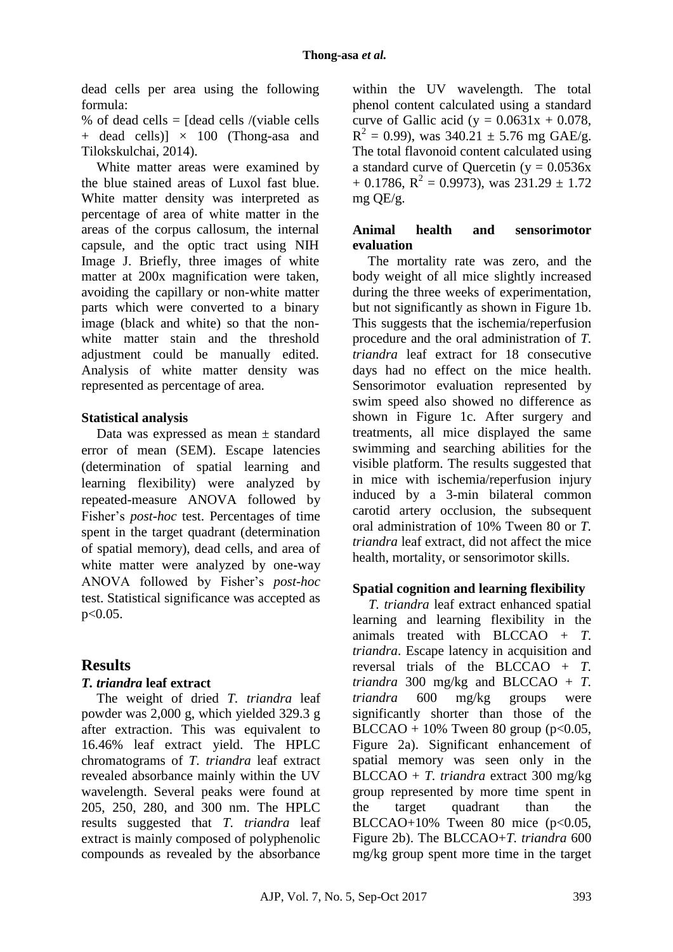dead cells per area using the following formula:

% of dead cells =  $\delta$  [dead cells /(viable cells  $+$  dead cells)]  $\times$  100 (Thong-asa and Tilokskulchai, 2014).

White matter areas were examined by the blue stained areas of Luxol fast blue. White matter density was interpreted as percentage of area of white matter in the areas of the corpus callosum, the internal capsule, and the optic tract using NIH Image J. Briefly, three images of white matter at 200x magnification were taken, avoiding the capillary or non-white matter parts which were converted to a binary image (black and white) so that the nonwhite matter stain and the threshold adjustment could be manually edited. Analysis of white matter density was represented as percentage of area.

### **Statistical analysis**

Data was expressed as mean  $\pm$  standard error of mean (SEM). Escape latencies (determination of spatial learning and learning flexibility) were analyzed by repeated-measure ANOVA followed by Fisher's *post-hoc* test. Percentages of time spent in the target quadrant (determination of spatial memory), dead cells, and area of white matter were analyzed by one-way ANOVA followed by Fisher's *post-hoc* test. Statistical significance was accepted as p<0.05.

# **Results**

### *T. triandra* **leaf extract**

The weight of dried *T. triandra* leaf powder was 2,000 g, which yielded 329.3 g after extraction. This was equivalent to 16.46% leaf extract yield. The HPLC chromatograms of *T. triandra* leaf extract revealed absorbance mainly within the UV wavelength. Several peaks were found at 205, 250, 280, and 300 nm. The HPLC results suggested that *T. triandra* leaf extract is mainly composed of polyphenolic compounds as revealed by the absorbance within the UV wavelength. The total phenol content calculated using a standard curve of Gallic acid (y =  $0.0631x + 0.078$ ,  $R^2 = 0.99$ ), was 340.21 ± 5.76 mg GAE/g. The total flavonoid content calculated using a standard curve of Quercetin ( $y = 0.0536x$ )  $+$  0.1786, R<sup>2</sup> = 0.9973), was 231.29  $\pm$  1.72 mg QE/g.

### **Animal health and sensorimotor evaluation**

The mortality rate was zero, and the body weight of all mice slightly increased during the three weeks of experimentation. but not significantly as shown in Figure 1b. This suggests that the ischemia/reperfusion procedure and the oral administration of *T. triandra* leaf extract for 18 consecutive days had no effect on the mice health. Sensorimotor evaluation represented by swim speed also showed no difference as shown in Figure 1c. After surgery and treatments, all mice displayed the same swimming and searching abilities for the visible platform. The results suggested that in mice with ischemia/reperfusion injury induced by a 3-min bilateral common carotid artery occlusion, the subsequent oral administration of 10% Tween 80 or *T. triandra* leaf extract, did not affect the mice health, mortality, or sensorimotor skills.

### **Spatial cognition and learning flexibility**

*T. triandra* leaf extract enhanced spatial learning and learning flexibility in the animals treated with BLCCAO + *T. triandra*. Escape latency in acquisition and reversal trials of the BLCCAO + *T. triandra* 300 mg/kg and BLCCAO +  $T$ . *triandra* 600 mg/kg groups were significantly shorter than those of the BLCCAO +  $10\%$  Tween 80 group (p<0.05, Figure 2a). Significant enhancement of spatial memory was seen only in the BLCCAO + *T. triandra* extract 300 mg/kg group represented by more time spent in the target quadrant than the BLCCAO+10% Tween 80 mice  $(p<0.05$ , Figure 2b). The BLCCAO+*T. triandra* 600 mg/kg group spent more time in the target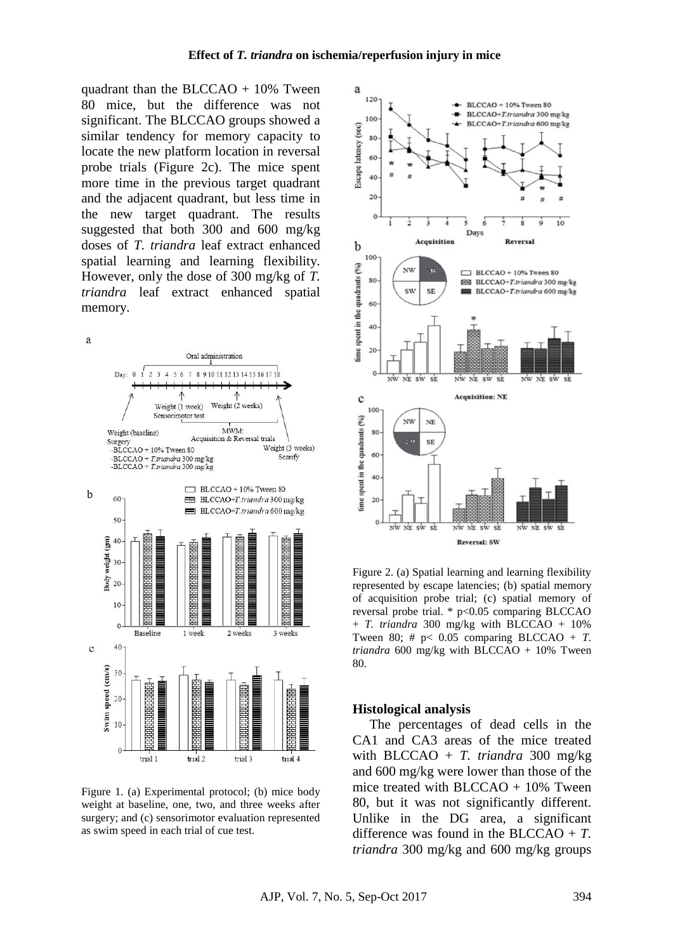quadrant than the BLCCAO  $+ 10\%$  Tween 80 mice, but the difference was not significant. The BLCCAO groups showed a similar tendency for memory capacity to locate the new platform location in reversal probe trials (Figure 2c). The mice spent more time in the previous target quadrant and the adjacent quadrant, but less time in the new target quadrant. The results suggested that both 300 and 600 mg/kg doses of *T. triandra* leaf extract enhanced spatial learning and learning flexibility. However, only the dose of 300 mg/kg of *T. triandra* leaf extract enhanced spatial memory.

a



Figure 1. (a) Experimental protocol; (b) mice body weight at baseline, one, two, and three weeks after surgery; and (c) sensorimotor evaluation represented as swim speed in each trial of cue test.



Figure 2. (a) Spatial learning and learning flexibility represented by escape latencies; (b) spatial memory of acquisition probe trial; (c) spatial memory of reversal probe trial. \* p<0.05 comparing BLCCAO + *T. triandra* 300 mg/kg with BLCCAO + 10% Tween 80;  $\#$  p< 0.05 comparing BLCCAO + *T*. *triandra* 600 mg/kg with BLCCAO + 10% Tween 80.

#### **Histological analysis**

 The percentages of dead cells in the CA1 and CA3 areas of the mice treated with BLCCAO + *T. triandra* 300 mg/kg and 600 mg/kg were lower than those of the mice treated with  $BLCCAO + 10\%$  Tween 80, but it was not significantly different. Unlike in the DG area, a significant difference was found in the BLCCAO + *T. triandra* 300 mg/kg and 600 mg/kg groups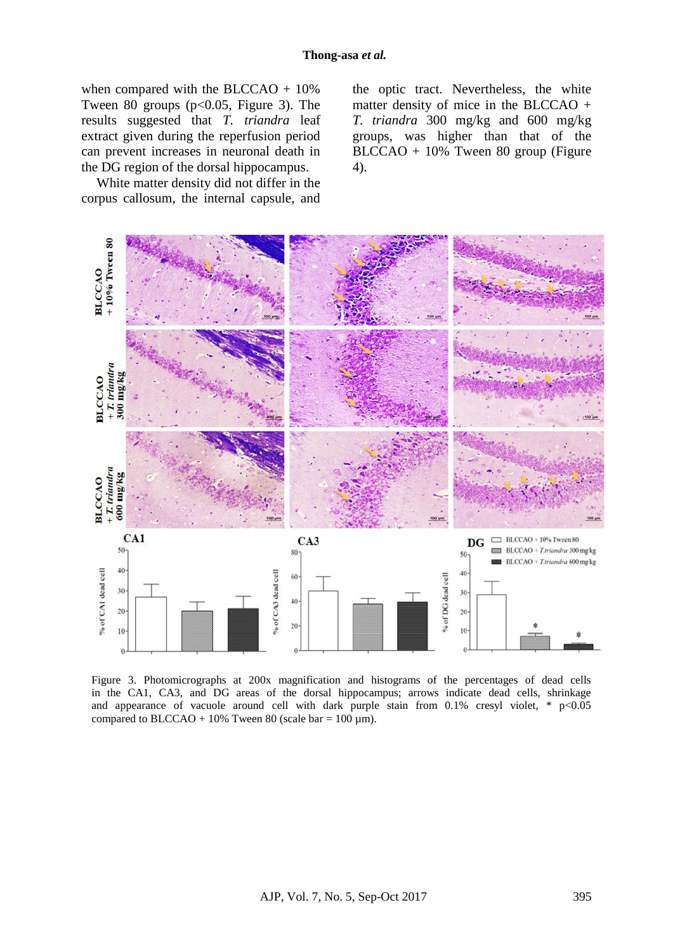when compared with the BLCCAO +  $10\%$ Tween 80 groups ( $p<0.05$ , Figure 3). The results suggested that *T. triandra* leaf extract given during the reperfusion period can prevent increases in neuronal death in the DG region of the dorsal hippocampus.

White matter density did not differ in the corpus callosum, the internal capsule, and the optic tract. Nevertheless, the white matter density of mice in the BLCCAO + *T. triandra* 300 mg/kg and 600 mg/kg groups, was higher than that of the BLCCAO + 10% Tween 80 group (Figure 4).



Figure 3. Photomicrographs at 200x magnification and histograms of the percentages of dead cells in the CA1, CA3, and DG areas of the dorsal hippocampus; arrows indicate dead cells, shrinkage and appearance of vacuole around cell with dark purple stain from  $0.1\%$  cresyl violet, \* p<0.05 compared to BLCCAO + 10% Tween 80 (scale bar =  $100 \mu m$ ).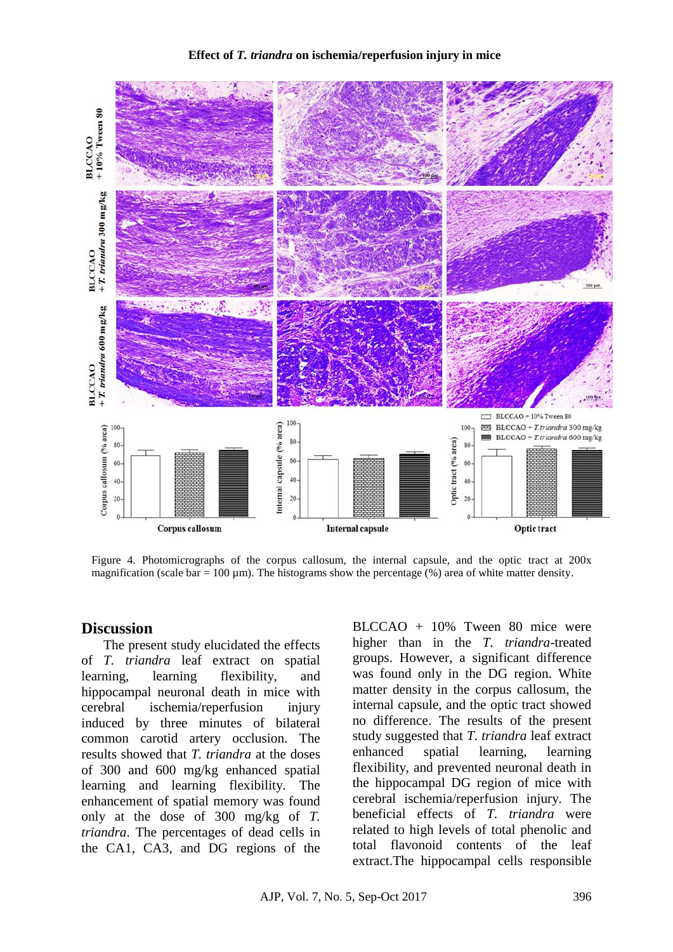

Figure 4. Photomicrographs of the corpus callosum, the internal capsule, and the optic tract at 200x magnification (scale  $bar = 100 \mu m$ ). The histograms show the percentage (%) area of white matter density.

#### **Discussion**

 The present study elucidated the effects of *T. triandra* leaf extract on spatial learning, learning flexibility, and hippocampal neuronal death in mice with cerebral ischemia/reperfusion injury induced by three minutes of bilateral common carotid artery occlusion. The results showed that *T. triandra* at the doses of 300 and 600 mg/kg enhanced spatial learning and learning flexibility. The enhancement of spatial memory was found only at the dose of 300 mg/kg of *T. triandra*. The percentages of dead cells in the CA1, CA3, and DG regions of the BLCCAO + 10% Tween 80 mice were higher than in the *T. triandra*-treated groups. However, a significant difference was found only in the DG region. White matter density in the corpus callosum, the internal capsule, and the optic tract showed no difference. The results of the present study suggested that *T. triandra* leaf extract enhanced spatial learning, learning flexibility, and prevented neuronal death in the hippocampal DG region of mice with cerebral ischemia/reperfusion injury. The beneficial effects of *T. triandra* were related to high levels of total phenolic and total flavonoid contents of the leaf extract.The hippocampal cells responsible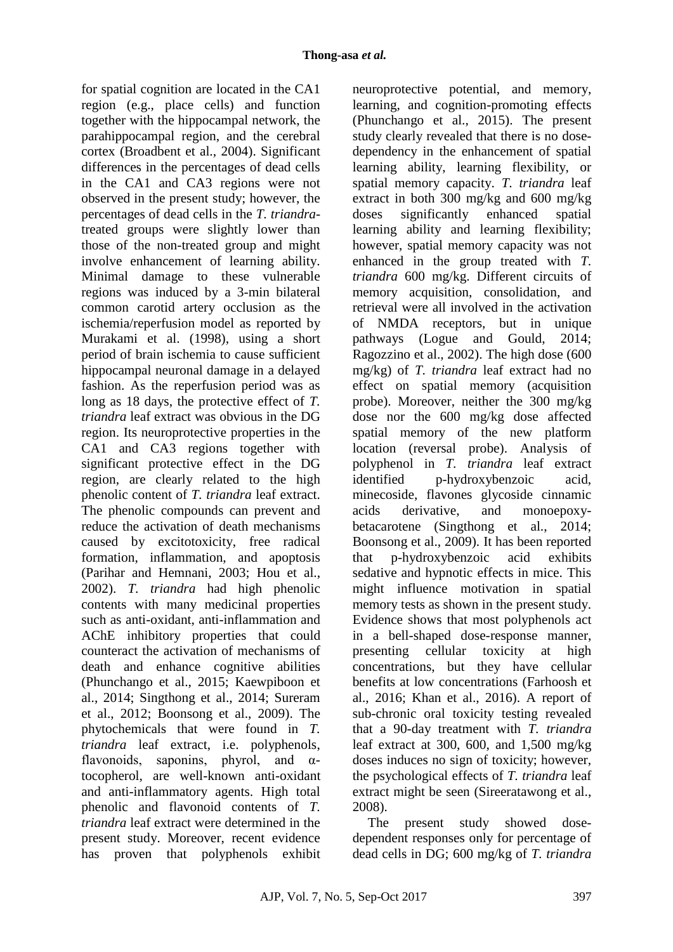for spatial cognition are located in the CA1 region (e.g., place cells) and function together with the hippocampal network, the parahippocampal region, and the cerebral cortex (Broadbent et al., 2004). Significant differences in the percentages of dead cells in the CA1 and CA3 regions were not observed in the present study; however, the percentages of dead cells in the *T. triandra*treated groups were slightly lower than those of the non-treated group and might involve enhancement of learning ability. Minimal damage to these vulnerable regions was induced by a 3-min bilateral common carotid artery occlusion as the ischemia/reperfusion model as reported by Murakami et al. (1998), using a short period of brain ischemia to cause sufficient hippocampal neuronal damage in a delayed fashion. As the reperfusion period was as long as 18 days, the protective effect of *T. triandra* leaf extract was obvious in the DG region. Its neuroprotective properties in the CA1 and CA3 regions together with significant protective effect in the DG region, are clearly related to the high phenolic content of *T. triandra* leaf extract. The phenolic compounds can prevent and reduce the activation of death mechanisms caused by excitotoxicity, free radical formation, inflammation, and apoptosis (Parihar and Hemnani, 2003; Hou et al., 2002). *T. triandra* had high phenolic contents with many medicinal properties such as anti-oxidant, anti-inflammation and AChE inhibitory properties that could counteract the activation of mechanisms of death and enhance cognitive abilities (Phunchango et al., 2015; Kaewpiboon et al., 2014; Singthong et al., 2014; Sureram et al., 2012; Boonsong et al., 2009). The phytochemicals that were found in *T. triandra* leaf extract, i.e. polyphenols, flavonoids, saponins, phyrol, and  $\alpha$ tocopherol, are well-known anti-oxidant and anti-inflammatory agents. High total phenolic and flavonoid contents of *T. triandra* leaf extract were determined in the present study. Moreover, recent evidence has proven that polyphenols exhibit

neuroprotective potential, and memory, learning, and cognition-promoting effects (Phunchango et al., 2015). The present study clearly revealed that there is no dosedependency in the enhancement of spatial learning ability, learning flexibility, or spatial memory capacity. *T. triandra* leaf extract in both 300 mg/kg and 600 mg/kg doses significantly enhanced spatial learning ability and learning flexibility; however, spatial memory capacity was not enhanced in the group treated with *T. triandra* 600 mg/kg. Different circuits of memory acquisition, consolidation, and retrieval were all involved in the activation of NMDA receptors, but in unique pathways (Logue and Gould, 2014; Ragozzino et al., 2002). The high dose (600 mg/kg) of *T. triandra* leaf extract had no effect on spatial memory (acquisition probe). Moreover, neither the 300 mg/kg dose nor the 600 mg/kg dose affected spatial memory of the new platform location (reversal probe). Analysis of polyphenol in *T. triandra* leaf extract identified p-hydroxybenzoic acid, minecoside, flavones glycoside cinnamic acids derivative, and monoepoxybetacarotene (Singthong et al., 2014; Boonsong et al., 2009). It has been reported that p-hydroxybenzoic acid exhibits sedative and hypnotic effects in mice. This might influence motivation in spatial memory tests as shown in the present study. Evidence shows that most polyphenols act in a bell-shaped dose-response manner, presenting cellular toxicity at high concentrations, but they have cellular benefits at low concentrations (Farhoosh et al., 2016; Khan et al., 2016). A report of sub-chronic oral toxicity testing revealed that a 90-day treatment with *T. triandra* leaf extract at 300, 600, and 1,500 mg/kg doses induces no sign of toxicity; however, the psychological effects of *T. triandra* leaf extract might be seen (Sireeratawong et al., 2008).

The present study showed dosedependent responses only for percentage of dead cells in DG; 600 mg/kg of *T. triandra*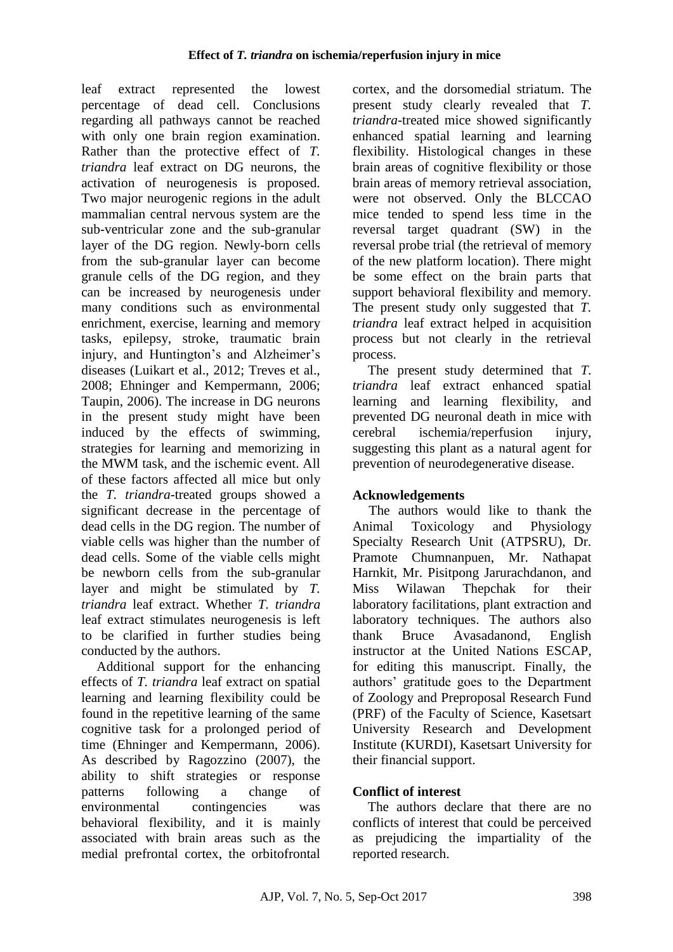leaf extract represented the lowest percentage of dead cell. Conclusions regarding all pathways cannot be reached with only one brain region examination. Rather than the protective effect of *T. triandra* leaf extract on DG neurons, the activation of neurogenesis is proposed. Two major neurogenic regions in the adult mammalian central nervous system are the sub-ventricular zone and the sub-granular layer of the DG region. Newly-born cells from the sub-granular layer can become granule cells of the DG region, and they can be increased by neurogenesis under many conditions such as environmental enrichment, exercise, learning and memory tasks, epilepsy, stroke, traumatic brain injury, and Huntington's and Alzheimer's diseases (Luikart et al., 2012; Treves et al., 2008; Ehninger and Kempermann, 2006; Taupin, 2006). The increase in DG neurons in the present study might have been induced by the effects of swimming, strategies for learning and memorizing in the MWM task, and the ischemic event. All of these factors affected all mice but only the *T. triandra-*treated groups showed a significant decrease in the percentage of dead cells in the DG region. The number of viable cells was higher than the number of dead cells. Some of the viable cells might be newborn cells from the sub-granular layer and might be stimulated by *T. triandra* leaf extract. Whether *T. triandra* leaf extract stimulates neurogenesis is left to be clarified in further studies being conducted by the authors.

Additional support for the enhancing effects of *T. triandra* leaf extract on spatial learning and learning flexibility could be found in the repetitive learning of the same cognitive task for a prolonged period of time (Ehninger and Kempermann, 2006). As described by Ragozzino (2007), the ability to shift strategies or response patterns following a change of environmental contingencies was behavioral flexibility, and it is mainly associated with brain areas such as the medial prefrontal cortex, the orbitofrontal cortex, and the dorsomedial striatum. The present study clearly revealed that *T. triandra*-treated mice showed significantly enhanced spatial learning and learning flexibility. Histological changes in these brain areas of cognitive flexibility or those brain areas of memory retrieval association, were not observed. Only the BLCCAO mice tended to spend less time in the reversal target quadrant (SW) in the reversal probe trial (the retrieval of memory of the new platform location). There might be some effect on the brain parts that support behavioral flexibility and memory. The present study only suggested that *T. triandra* leaf extract helped in acquisition process but not clearly in the retrieval process.

The present study determined that *T. triandra* leaf extract enhanced spatial learning and learning flexibility, and prevented DG neuronal death in mice with cerebral ischemia/reperfusion injury, suggesting this plant as a natural agent for prevention of neurodegenerative disease.

# **Acknowledgements**

The authors would like to thank the Animal Toxicology and Physiology Specialty Research Unit (ATPSRU), Dr. Pramote Chumnanpuen, Mr. Nathapat Harnkit, Mr. Pisitpong Jarurachdanon, and Miss Wilawan Thepchak for their laboratory facilitations, plant extraction and laboratory techniques. The authors also thank Bruce Avasadanond, English instructor at the United Nations ESCAP, for editing this manuscript. Finally, the authors' gratitude goes to the Department of Zoology and Preproposal Research Fund (PRF) of the Faculty of Science, Kasetsart University Research and Development Institute (KURDI), Kasetsart University for their financial support.

# **Conflict of interest**

The authors declare that there are no conflicts of interest that could be perceived as prejudicing the impartiality of the reported research.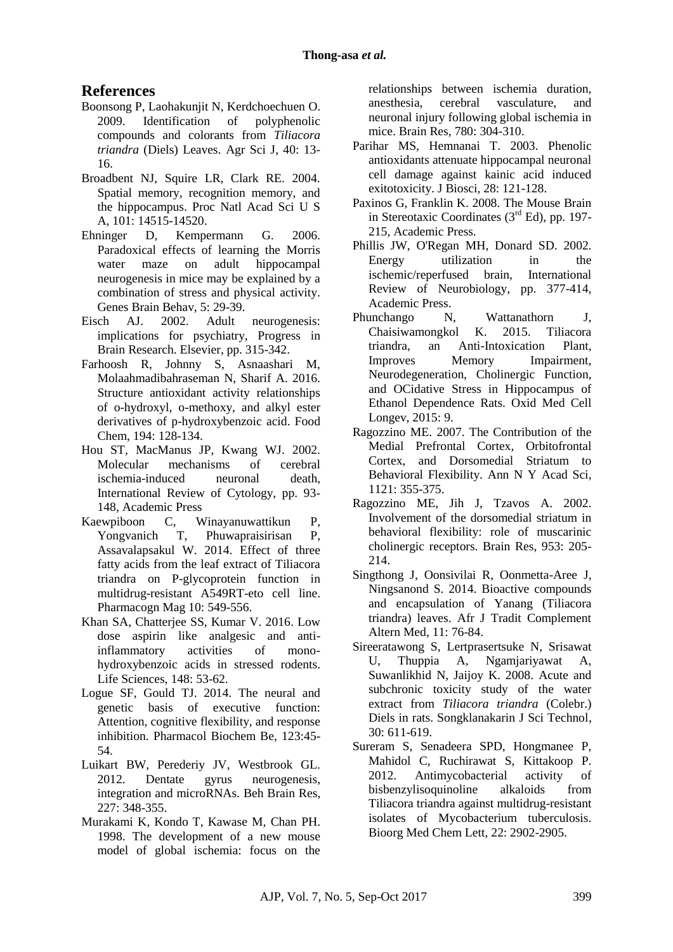# **References**

- Boonsong P, Laohakunjit N, Kerdchoechuen O. 2009. Identification of polyphenolic compounds and colorants from *Tiliacora triandra* (Diels) Leaves. Agr Sci J, 40: 13- 16.
- Broadbent NJ, Squire LR, Clark RE. 2004. Spatial memory, recognition memory, and the hippocampus. Proc Natl Acad Sci U S A, 101: 14515-14520.
- Ehninger D, Kempermann G. 2006. Paradoxical effects of learning the Morris water maze on adult hippocampal neurogenesis in mice may be explained by a combination of stress and physical activity. Genes Brain Behav, 5: 29-39.
- Eisch AJ. 2002. Adult neurogenesis: implications for psychiatry, Progress in Brain Research. Elsevier, pp. 315-342.
- Farhoosh R, Johnny S, Asnaashari M, Molaahmadibahraseman N, Sharif A. 2016. Structure antioxidant activity relationships of o-hydroxyl, o-methoxy, and alkyl ester derivatives of p-hydroxybenzoic acid. Food Chem, 194: 128-134.
- Hou ST, MacManus JP, Kwang WJ. 2002. Molecular mechanisms of cerebral ischemia-induced neuronal death, International Review of Cytology, pp. 93- 148, Academic Press
- Kaewpiboon C, Winayanuwattikun P, Yongvanich T, Phuwapraisirisan P, Assavalapsakul W. 2014. Effect of three fatty acids from the leaf extract of Tiliacora triandra on P-glycoprotein function in multidrug-resistant A549RT-eto cell line. Pharmacogn Mag 10: 549-556.
- Khan SA, Chatterjee SS, Kumar V. 2016. Low dose aspirin like analgesic and antiinflammatory activities of monohydroxybenzoic acids in stressed rodents. Life Sciences, 148: 53-62.
- Logue SF, Gould TJ. 2014. The neural and genetic basis of executive function: Attention, cognitive flexibility, and response inhibition. Pharmacol Biochem Be, 123:45- 54.
- Luikart BW, Perederiy JV, Westbrook GL. 2012. Dentate gyrus neurogenesis, integration and microRNAs. Beh Brain Res, 227: 348-355.
- Murakami K, Kondo T, Kawase M, Chan PH. 1998. The development of a new mouse model of global ischemia: focus on the

relationships between ischemia duration, anesthesia, cerebral vasculature, and neuronal injury following global ischemia in mice. Brain Res, 780: 304-310.

- Parihar MS, Hemnanai T. 2003. Phenolic antioxidants attenuate hippocampal neuronal cell damage against kainic acid induced exitotoxicity. J Biosci, 28: 121-128.
- Paxinos G, Franklin K. 2008. The Mouse Brain in Stereotaxic Coordinates  $(3<sup>rd</sup> Ed)$ , pp. 197-215, Academic Press.
- Phillis JW, O'Regan MH, Donard SD. 2002. Energy utilization in the ischemic/reperfused brain, International Review of Neurobiology, pp. 377-414, Academic Press.
- Phunchango N, Wattanathorn J, Chaisiwamongkol K. 2015. Tiliacora triandra, an Anti-Intoxication Plant, Improves Memory Impairment, Neurodegeneration, Cholinergic Function, and OCidative Stress in Hippocampus of Ethanol Dependence Rats. Oxid Med Cell Longev, 2015: 9.
- Ragozzino ME. 2007. The Contribution of the Medial Prefrontal Cortex, Orbitofrontal Cortex, and Dorsomedial Striatum to Behavioral Flexibility. Ann N Y Acad Sci, 1121: 355-375.
- Ragozzino ME, Jih J, Tzavos A. 2002. Involvement of the dorsomedial striatum in behavioral flexibility: role of muscarinic cholinergic receptors. Brain Res, 953: 205- 214.
- Singthong J, Oonsivilai R, Oonmetta-Aree J, Ningsanond S. 2014. Bioactive compounds and encapsulation of Yanang (Tiliacora triandra) leaves. Afr J Tradit Complement Altern Med, 11: 76-84.
- Sireeratawong S, Lertprasertsuke N, Srisawat U, Thuppia A, Ngamjariyawat A, Suwanlikhid N, Jaijoy K. 2008. Acute and subchronic toxicity study of the water extract from *Tiliacora triandra* (Colebr.) Diels in rats. Songklanakarin J Sci Technol, 30: 611-619.
- Sureram S, Senadeera SPD, Hongmanee P, Mahidol C, Ruchirawat S, Kittakoop P. 2012. Antimycobacterial activity of bisbenzylisoquinoline alkaloids from Tiliacora triandra against multidrug-resistant isolates of Mycobacterium tuberculosis. Bioorg Med Chem Lett, 22: 2902-2905.